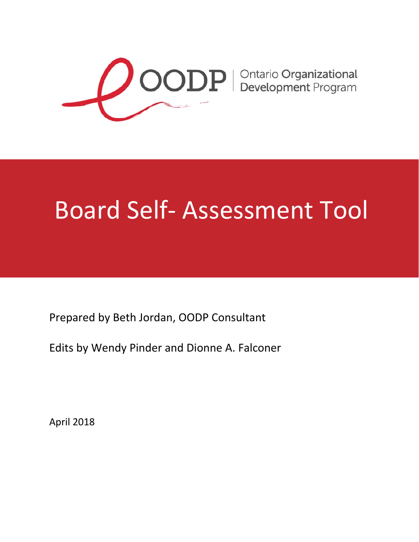

# Board Self‐ Assessment Tool

Prepared by Beth Jordan, OODP Consultant

Edits by Wendy Pinder and Dionne A. Falconer

April 2018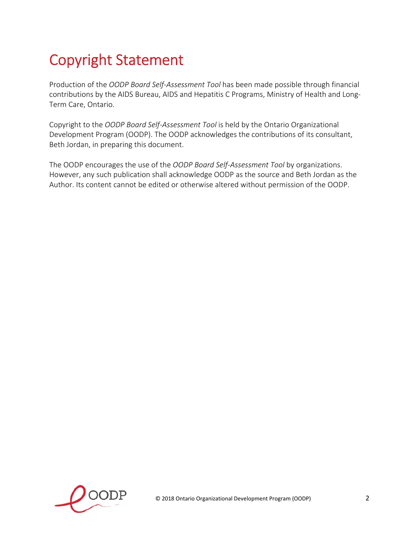# Copyright Statement

Production of the *OODP Board Self‐Assessment Tool* has been made possible through financial contributions by the AIDS Bureau, AIDS and Hepatitis C Programs, Ministry of Health and Long‐ Term Care, Ontario.

Copyright to the *OODP Board Self‐Assessment Tool* is held by the Ontario Organizational Development Program (OODP). The OODP acknowledges the contributions of its consultant, Beth Jordan, in preparing this document.

The OODP encourages the use of the *OODP Board Self‐Assessment Tool* by organizations. However, any such publication shall acknowledge OODP as the source and Beth Jordan as the Author. Its content cannot be edited or otherwise altered without permission of the OODP.

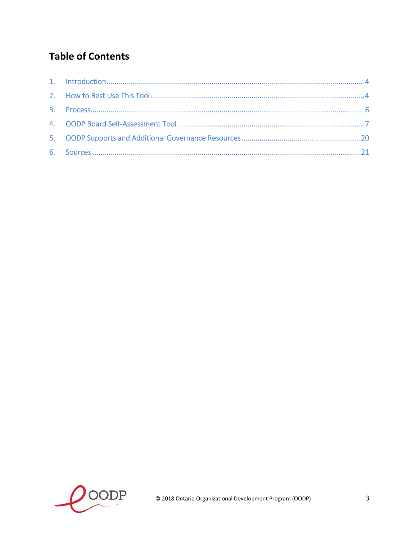# **Table of Contents**

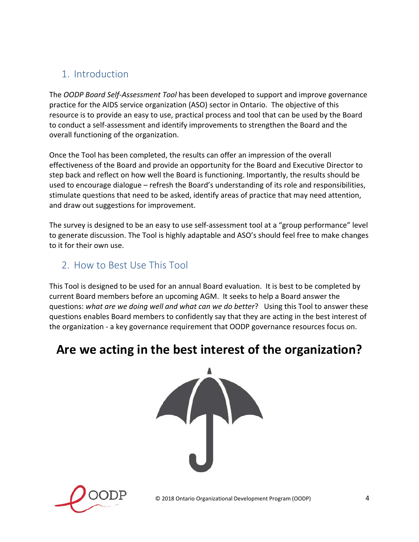## 1. Introduction

The *OODP Board Self‐Assessment Tool* has been developed to support and improve governance practice for the AIDS service organization (ASO) sector in Ontario. The objective of this resource is to provide an easy to use, practical process and tool that can be used by the Board to conduct a self‐assessment and identify improvements to strengthen the Board and the overall functioning of the organization.

Once the Tool has been completed, the results can offer an impression of the overall effectiveness of the Board and provide an opportunity for the Board and Executive Director to step back and reflect on how well the Board is functioning. Importantly, the results should be used to encourage dialogue – refresh the Board's understanding of its role and responsibilities, stimulate questions that need to be asked, identify areas of practice that may need attention, and draw out suggestions for improvement.

The survey is designed to be an easy to use self-assessment tool at a "group performance" level to generate discussion. The Tool is highly adaptable and ASO's should feel free to make changes to it for their own use.

#### 2. How to Best Use This Tool

This Tool is designed to be used for an annual Board evaluation. It is best to be completed by current Board members before an upcoming AGM. It seeks to help a Board answer the questions: *what are we doing well and what can we do better*? Using this Tool to answer these questions enables Board members to confidently say that they are acting in the best interest of the organization ‐ a key governance requirement that OODP governance resources focus on.

# **Are we acting in the best interest of the organization?**



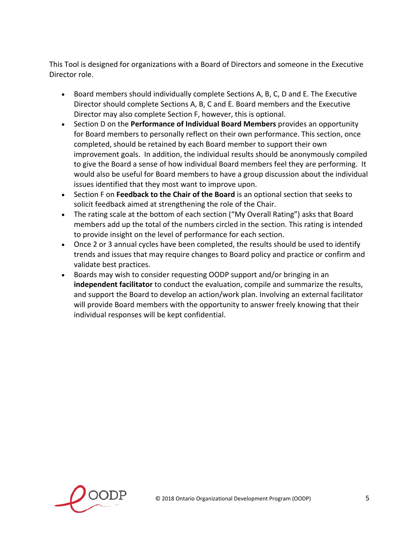This Tool is designed for organizations with a Board of Directors and someone in the Executive Director role.

- Board members should individually complete Sections A, B, C, D and E. The Executive Director should complete Sections A, B, C and E. Board members and the Executive Director may also complete Section F, however, this is optional.
- Section D on the **Performance of Individual Board Members** provides an opportunity for Board members to personally reflect on their own performance. This section, once completed, should be retained by each Board member to support their own improvement goals. In addition, the individual results should be anonymously compiled to give the Board a sense of how individual Board members feel they are performing. It would also be useful for Board members to have a group discussion about the individual issues identified that they most want to improve upon.
- Section F on **Feedback to the Chair of the Board** is an optional section that seeks to solicit feedback aimed at strengthening the role of the Chair.
- The rating scale at the bottom of each section ("My Overall Rating") asks that Board members add up the total of the numbers circled in the section. This rating is intended to provide insight on the level of performance for each section.
- Once 2 or 3 annual cycles have been completed, the results should be used to identify trends and issues that may require changes to Board policy and practice or confirm and validate best practices.
- Boards may wish to consider requesting OODP support and/or bringing in an **independent facilitator** to conduct the evaluation, compile and summarize the results, and support the Board to develop an action/work plan. Involving an external facilitator will provide Board members with the opportunity to answer freely knowing that their individual responses will be kept confidential.

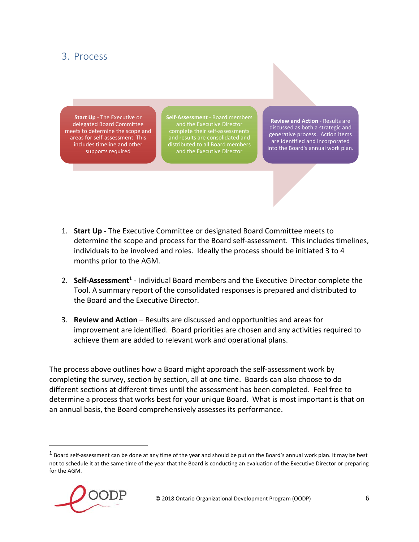#### 3. Process

**Start Up** ‐ The Executive or delegated Board Committee meets to determine the scope and areas for self‐assessment. This includes timeline and other supports required

**Self‐Assessment** ‐ Board members and the Executive Director complete their self‐assessments and results are consolidated and distributed to all Board members and the Executive Director

**Review and Action** ‐ Results are discussed as both a strategic and generative process. Action items are identified and incorporated into the Board's annual work plan.

- 1. **Start Up** ‐ The Executive Committee or designated Board Committee meets to determine the scope and process for the Board self‐assessment. This includes timelines, individuals to be involved and roles. Ideally the process should be initiated 3 to 4 months prior to the AGM.
- 2. **Self‐Assessment1** ‐ Individual Board members and the Executive Director complete the Tool. A summary report of the consolidated responses is prepared and distributed to the Board and the Executive Director.
- 3. **Review and Action** Results are discussed and opportunities and areas for improvement are identified. Board priorities are chosen and any activities required to achieve them are added to relevant work and operational plans.

The process above outlines how a Board might approach the self‐assessment work by completing the survey, section by section, all at one time. Boards can also choose to do different sections at different times until the assessment has been completed. Feel free to determine a process that works best for your unique Board. What is most important is that on an annual basis, the Board comprehensively assesses its performance.

 $1$  Board self-assessment can be done at any time of the year and should be put on the Board's annual work plan. It may be best not to schedule it at the same time of the year that the Board is conducting an evaluation of the Executive Director or preparing for the AGM.



 $\overline{a}$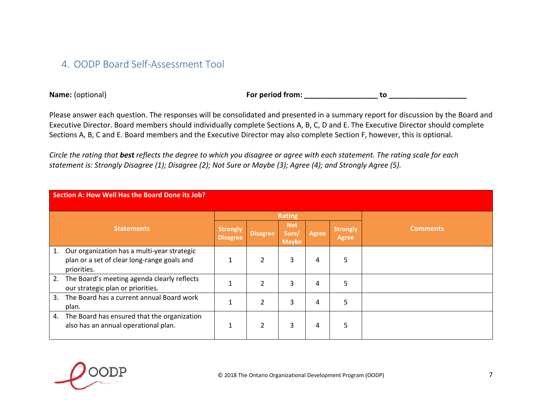#### 4. OODP Board Self‐Assessment Tool

**Name:**

For period from: \_\_\_\_\_\_\_\_\_\_\_\_\_\_\_\_\_\_\_\_\_\_\_\_\_ to \_\_\_\_\_\_\_\_

Please answer each question. The responses will be consolidated and presented in <sup>a</sup> summary report for discussion by the Board and Executive Director. Board members should individually complete Sections A, B, C, D and E. The Executive Director should complete Sections A, B, C and E. Board members and the Executive Director may also complete Section F, however, this is optional.

|    | Section A: How Well Has the Board Done its Job?                                                           |                             |                 |                                     |              |                          |                 |  |  |  |  |
|----|-----------------------------------------------------------------------------------------------------------|-----------------------------|-----------------|-------------------------------------|--------------|--------------------------|-----------------|--|--|--|--|
|    |                                                                                                           |                             |                 | <b>Rating</b>                       |              |                          |                 |  |  |  |  |
|    | <b>Statements</b>                                                                                         | <b>Strongly</b><br>Disagree | <b>Disagree</b> | <b>Not</b><br>Sure/<br><b>Maybe</b> | <b>Agree</b> | <b>Strongly</b><br>Agree | <b>Comments</b> |  |  |  |  |
| 1. | Our organization has a multi-year strategic<br>plan or a set of clear long-range goals and<br>priorities. | $\mathbf{1}$                | 2               | 3                                   | 4            | 5                        |                 |  |  |  |  |
| 2. | The Board's meeting agenda clearly reflects<br>our strategic plan or priorities.                          |                             | າ               | 3                                   | 4            | 5                        |                 |  |  |  |  |
| 3. | The Board has a current annual Board work<br>plan.                                                        |                             | っ               | 3                                   | 4            | 5                        |                 |  |  |  |  |
| 4. | The Board has ensured that the organization<br>also has an annual operational plan.                       | 1                           | 2               | 3                                   | 4            | 5                        |                 |  |  |  |  |

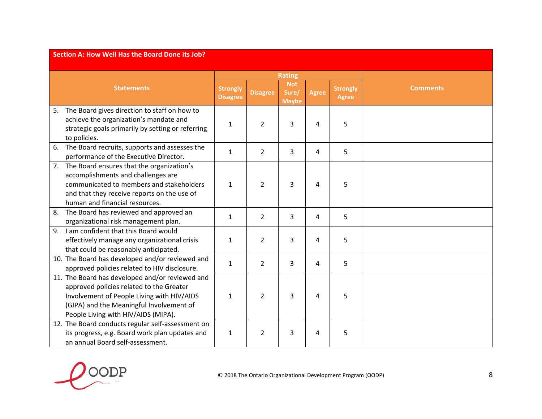|    | Section A: How Well Has the Board Done its Job?                                                                                                                                                                              |                                    |                 |                                     |                |                                 |                 |  |  |  |  |
|----|------------------------------------------------------------------------------------------------------------------------------------------------------------------------------------------------------------------------------|------------------------------------|-----------------|-------------------------------------|----------------|---------------------------------|-----------------|--|--|--|--|
|    |                                                                                                                                                                                                                              |                                    |                 | <b>Rating</b>                       |                |                                 |                 |  |  |  |  |
|    | <b>Statements</b>                                                                                                                                                                                                            | <b>Strongly</b><br><b>Disagree</b> | <b>Disagree</b> | <b>Not</b><br>Sure/<br><b>Maybe</b> | <b>Agree</b>   | <b>Strongly</b><br><b>Agree</b> | <b>Comments</b> |  |  |  |  |
| 5. | The Board gives direction to staff on how to<br>achieve the organization's mandate and<br>strategic goals primarily by setting or referring<br>to policies.                                                                  | $\mathbf{1}$                       | $\overline{2}$  | 3                                   | $\overline{4}$ | 5                               |                 |  |  |  |  |
| 6. | The Board recruits, supports and assesses the<br>performance of the Executive Director.                                                                                                                                      | $\mathbf{1}$                       | $\overline{2}$  | 3                                   | $\overline{4}$ | 5                               |                 |  |  |  |  |
| 7. | The Board ensures that the organization's<br>accomplishments and challenges are<br>communicated to members and stakeholders<br>and that they receive reports on the use of<br>human and financial resources.                 | $\mathbf{1}$                       | $\overline{2}$  | 3                                   | $\overline{4}$ | 5                               |                 |  |  |  |  |
| 8. | The Board has reviewed and approved an<br>organizational risk management plan.                                                                                                                                               | $\mathbf{1}$                       | $\overline{2}$  | $\overline{3}$                      | $\overline{4}$ | 5                               |                 |  |  |  |  |
|    | 9. I am confident that this Board would<br>effectively manage any organizational crisis<br>that could be reasonably anticipated.                                                                                             | $\mathbf{1}$                       | $\overline{2}$  | 3                                   | $\overline{a}$ | 5                               |                 |  |  |  |  |
|    | 10. The Board has developed and/or reviewed and<br>approved policies related to HIV disclosure.                                                                                                                              | $\mathbf{1}$                       | $\overline{2}$  | 3                                   | $\overline{4}$ | 5                               |                 |  |  |  |  |
|    | 11. The Board has developed and/or reviewed and<br>approved policies related to the Greater<br>Involvement of People Living with HIV/AIDS<br>(GIPA) and the Meaningful Involvement of<br>People Living with HIV/AIDS (MIPA). | $\mathbf{1}$                       | 2               | 3                                   | $\overline{a}$ | 5                               |                 |  |  |  |  |
|    | 12. The Board conducts regular self-assessment on<br>its progress, e.g. Board work plan updates and<br>an annual Board self-assessment.                                                                                      | $\mathbf{1}$                       | 2               | 3                                   | 4              | 5                               |                 |  |  |  |  |

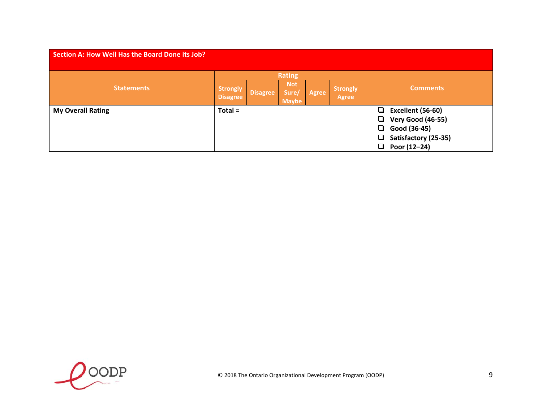| <b>Section A: How Well Has the Board Done its Job?</b> |                                    |          |                                     |       |                                 |                                                                                                                  |  |  |  |  |
|--------------------------------------------------------|------------------------------------|----------|-------------------------------------|-------|---------------------------------|------------------------------------------------------------------------------------------------------------------|--|--|--|--|
|                                                        |                                    |          | <b>Rating</b>                       |       |                                 |                                                                                                                  |  |  |  |  |
| <b>Statements</b>                                      | <b>Strongly</b><br><b>Disagree</b> | Disagree | <b>Not</b><br>Sure/<br><b>Maybe</b> | Agree | <b>Strongly</b><br><b>Agree</b> | <b>Comments</b>                                                                                                  |  |  |  |  |
| <b>My Overall Rating</b>                               | $Total =$                          |          |                                     |       |                                 | Excellent (56-60)<br>Ū.<br><b>Very Good (46-55)</b><br>Good (36-45)<br>ப<br>Satisfactory (25-35)<br>Poor (12-24) |  |  |  |  |

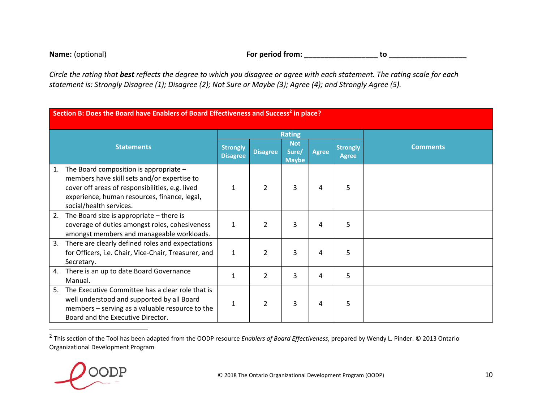**Name:**For period from: \_\_\_\_\_\_\_\_\_\_\_\_\_\_\_\_\_\_\_\_\_\_\_\_ to \_\_\_\_\_\_\_\_\_

|    | Section B: Does the Board have Enablers of Board Effectiveness and Success <sup>2</sup> in place?                                                                                                                     |                                    |                 |                                     |              |                                 |                 |  |  |  |
|----|-----------------------------------------------------------------------------------------------------------------------------------------------------------------------------------------------------------------------|------------------------------------|-----------------|-------------------------------------|--------------|---------------------------------|-----------------|--|--|--|
|    |                                                                                                                                                                                                                       |                                    |                 | <b>Rating</b>                       |              |                                 |                 |  |  |  |
|    | <b>Statements</b>                                                                                                                                                                                                     | <b>Strongly</b><br><b>Disagree</b> | <b>Disagree</b> | <b>Not</b><br>Sure/<br><b>Maybe</b> | <b>Agree</b> | <b>Strongly</b><br><b>Agree</b> | <b>Comments</b> |  |  |  |
| 1. | The Board composition is appropriate $-$<br>members have skill sets and/or expertise to<br>cover off areas of responsibilities, e.g. lived<br>experience, human resources, finance, legal,<br>social/health services. | 1                                  | 2               | 3                                   | 4            | 5                               |                 |  |  |  |
| 2. | The Board size is appropriate $-$ there is<br>coverage of duties amongst roles, cohesiveness<br>amongst members and manageable workloads.                                                                             | $\mathbf{1}$                       | $\mathcal{P}$   | 3                                   | 4            | 5                               |                 |  |  |  |
| 3. | There are clearly defined roles and expectations<br>for Officers, i.e. Chair, Vice-Chair, Treasurer, and<br>Secretary.                                                                                                | $\mathbf{1}$                       | $\overline{2}$  | 3                                   | 4            | 5                               |                 |  |  |  |
| 4. | There is an up to date Board Governance<br>Manual.                                                                                                                                                                    | 1                                  | $\overline{2}$  | 3                                   | 4            | 5                               |                 |  |  |  |
| 5. | The Executive Committee has a clear role that is<br>well understood and supported by all Board<br>members - serving as a valuable resource to the<br>Board and the Executive Director.                                | 1                                  | $\overline{2}$  | 3                                   | 4            | 5                               |                 |  |  |  |

<sup>2</sup> This section of the Tool has been adapted from the OODP resource *Enablers of Board Effectiveness*, prepared by Wendy L. Pinder. © 2013 Ontario Organizational Development Program

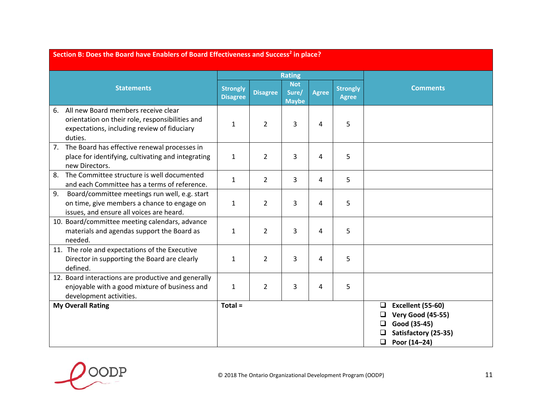|    | Section B: Does the Board have Enablers of Board Effectiveness and Success <sup>2</sup> in place?                                                |                                    |                 |                                     |              |                                 |                                                                                                                                     |  |  |  |  |
|----|--------------------------------------------------------------------------------------------------------------------------------------------------|------------------------------------|-----------------|-------------------------------------|--------------|---------------------------------|-------------------------------------------------------------------------------------------------------------------------------------|--|--|--|--|
|    |                                                                                                                                                  |                                    |                 | <b>Rating</b>                       |              |                                 |                                                                                                                                     |  |  |  |  |
|    | <b>Statements</b>                                                                                                                                | <b>Strongly</b><br><b>Disagree</b> | <b>Disagree</b> | <b>Not</b><br>Sure/<br><b>Maybe</b> | <b>Agree</b> | <b>Strongly</b><br><b>Agree</b> | <b>Comments</b>                                                                                                                     |  |  |  |  |
| 6. | All new Board members receive clear<br>orientation on their role, responsibilities and<br>expectations, including review of fiduciary<br>duties. | $\mathbf{1}$                       | $\overline{2}$  | 3                                   | 4            | 5                               |                                                                                                                                     |  |  |  |  |
|    | 7. The Board has effective renewal processes in<br>place for identifying, cultivating and integrating<br>new Directors.                          | $\mathbf{1}$                       | $\overline{2}$  | 3                                   | 4            | 5                               |                                                                                                                                     |  |  |  |  |
| 8. | The Committee structure is well documented<br>and each Committee has a terms of reference.                                                       | $\mathbf{1}$                       | $\overline{2}$  | 3                                   | 4            | 5                               |                                                                                                                                     |  |  |  |  |
| 9. | Board/committee meetings run well, e.g. start<br>on time, give members a chance to engage on<br>issues, and ensure all voices are heard.         | $\mathbf{1}$                       | $\overline{2}$  | 3                                   | 4            | 5                               |                                                                                                                                     |  |  |  |  |
|    | 10. Board/committee meeting calendars, advance<br>materials and agendas support the Board as<br>needed.                                          | $\mathbf{1}$                       | $\overline{2}$  | 3                                   | 4            | 5                               |                                                                                                                                     |  |  |  |  |
|    | 11. The role and expectations of the Executive<br>Director in supporting the Board are clearly<br>defined.                                       | $\mathbf{1}$                       | $\overline{2}$  | 3                                   | 4            | 5                               |                                                                                                                                     |  |  |  |  |
|    | 12. Board interactions are productive and generally<br>enjoyable with a good mixture of business and<br>development activities.                  | $\mathbf{1}$                       | $\overline{2}$  | 3                                   | 4            | 5                               |                                                                                                                                     |  |  |  |  |
|    | <b>My Overall Rating</b>                                                                                                                         | $Total =$                          |                 |                                     |              |                                 | Excellent (55-60)<br>$\Box$<br><b>Very Good (45-55)</b><br>❏<br>Good (35-45)<br>❏<br>Satisfactory (25-35)<br>$\Box$<br>Poor (14-24) |  |  |  |  |

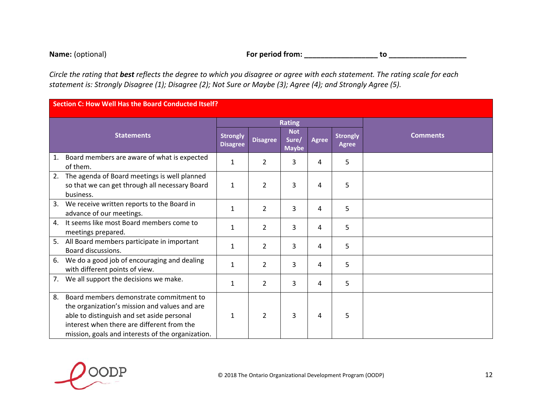**Name:**

(optional) **For period from: \_\_\_\_\_\_\_\_\_\_\_\_\_\_\_\_\_\_ to \_\_\_\_\_\_\_\_\_\_\_\_\_\_\_\_\_\_\_**

|                | Section C: How Well Has the Board Conducted Itself?                                                                                                                                                                                       |                                    |                 |                                     |       |                                 |                 |  |  |  |
|----------------|-------------------------------------------------------------------------------------------------------------------------------------------------------------------------------------------------------------------------------------------|------------------------------------|-----------------|-------------------------------------|-------|---------------------------------|-----------------|--|--|--|
|                |                                                                                                                                                                                                                                           |                                    |                 | <b>Rating</b>                       |       |                                 |                 |  |  |  |
|                | <b>Statements</b>                                                                                                                                                                                                                         | <b>Strongly</b><br><b>Disagree</b> | <b>Disagree</b> | <b>Not</b><br>Sure/<br><b>Maybe</b> | Agree | <b>Strongly</b><br><b>Agree</b> | <b>Comments</b> |  |  |  |
| 1.             | Board members are aware of what is expected<br>of them.                                                                                                                                                                                   | $\mathbf{1}$                       | $\overline{2}$  | 3                                   | 4     | 5                               |                 |  |  |  |
| 2.             | The agenda of Board meetings is well planned<br>so that we can get through all necessary Board<br>business.                                                                                                                               | $\mathbf{1}$                       | $\overline{2}$  | 3                                   | 4     | 5                               |                 |  |  |  |
| 3.             | We receive written reports to the Board in<br>advance of our meetings.                                                                                                                                                                    | 1                                  | $\overline{2}$  | 3                                   | 4     | 5                               |                 |  |  |  |
| $\mathbf{4}$ . | It seems like most Board members come to<br>meetings prepared.                                                                                                                                                                            | $\mathbf{1}$                       | $\overline{2}$  | 3                                   | 4     | 5                               |                 |  |  |  |
| 5.             | All Board members participate in important<br><b>Board discussions.</b>                                                                                                                                                                   | $\mathbf{1}$                       | $\overline{2}$  | 3                                   | 4     | 5                               |                 |  |  |  |
| 6.             | We do a good job of encouraging and dealing<br>with different points of view.                                                                                                                                                             | $\mathbf{1}$                       | $\overline{2}$  | 3                                   | 4     | 5                               |                 |  |  |  |
| 7.             | We all support the decisions we make.                                                                                                                                                                                                     | $\mathbf{1}$                       | $\overline{2}$  | 3                                   | 4     | 5                               |                 |  |  |  |
| 8.             | Board members demonstrate commitment to<br>the organization's mission and values and are<br>able to distinguish and set aside personal<br>interest when there are different from the<br>mission, goals and interests of the organization. | 1                                  | 2               | 3                                   | 4     | 5                               |                 |  |  |  |

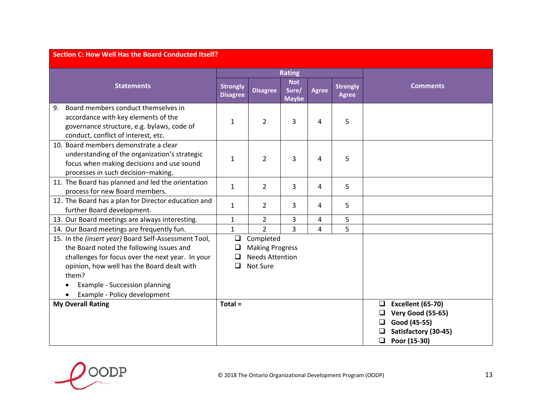| <b>Section C: How Well Has the Board Conducted Itself?</b>                                                                                                                                                                                   |                                                                                                         |                 |                                     |              |                                 |                                                                                                                                  |  |  |  |
|----------------------------------------------------------------------------------------------------------------------------------------------------------------------------------------------------------------------------------------------|---------------------------------------------------------------------------------------------------------|-----------------|-------------------------------------|--------------|---------------------------------|----------------------------------------------------------------------------------------------------------------------------------|--|--|--|
|                                                                                                                                                                                                                                              |                                                                                                         |                 | <b>Rating</b>                       |              |                                 |                                                                                                                                  |  |  |  |
| <b>Statements</b>                                                                                                                                                                                                                            | <b>Strongly</b><br><b>Disagree</b>                                                                      | <b>Disagree</b> | <b>Not</b><br>Sure/<br><b>Maybe</b> | <b>Agree</b> | <b>Strongly</b><br><b>Agree</b> | <b>Comments</b>                                                                                                                  |  |  |  |
| Board members conduct themselves in<br>9.<br>accordance with key elements of the<br>governance structure, e.g. bylaws, code of<br>conduct, conflict of interest, etc.                                                                        | 1                                                                                                       | 2               | 3                                   | 4            | 5                               |                                                                                                                                  |  |  |  |
| 10. Board members demonstrate a clear<br>understanding of the organization's strategic<br>focus when making decisions and use sound<br>processes in such decision-making.                                                                    | 1                                                                                                       | $\overline{2}$  | 3                                   | 4            | 5                               |                                                                                                                                  |  |  |  |
| 11. The Board has planned and led the orientation<br>process for new Board members.                                                                                                                                                          | $\mathbf{1}$                                                                                            | $\overline{2}$  | 3                                   | 4            | 5                               |                                                                                                                                  |  |  |  |
| 12. The Board has a plan for Director education and<br>further Board development.                                                                                                                                                            | 1                                                                                                       | $\overline{2}$  | 3                                   | 4            | 5                               |                                                                                                                                  |  |  |  |
| 13. Our Board meetings are always interesting.                                                                                                                                                                                               | $\mathbf{1}$                                                                                            | $\overline{2}$  | 3                                   | 4            | 5                               |                                                                                                                                  |  |  |  |
| 14. Our Board meetings are frequently fun.                                                                                                                                                                                                   | $\mathbf{1}$                                                                                            | $\overline{2}$  | $\overline{3}$                      | 4            | 5                               |                                                                                                                                  |  |  |  |
| 15. In the (insert year) Board Self-Assessment Tool,<br>the Board noted the following issues and<br>challenges for focus over the next year. In your<br>opinion, how well has the Board dealt with<br>them?<br>Example - Succession planning | $\Box$<br>Completed<br><b>Making Progress</b><br><b>Needs Attention</b><br>$\Box$<br>$\Box$<br>Not Sure |                 |                                     |              |                                 |                                                                                                                                  |  |  |  |
| Example - Policy development                                                                                                                                                                                                                 |                                                                                                         |                 |                                     |              |                                 |                                                                                                                                  |  |  |  |
| <b>My Overall Rating</b>                                                                                                                                                                                                                     | Total =                                                                                                 |                 |                                     |              |                                 | <b>Excellent (65-70)</b><br>□<br><b>Very Good (55-65)</b><br>□<br>Good (45-55)<br>Satisfactory (30-45)<br>$\Box$<br>Poor (15-30) |  |  |  |

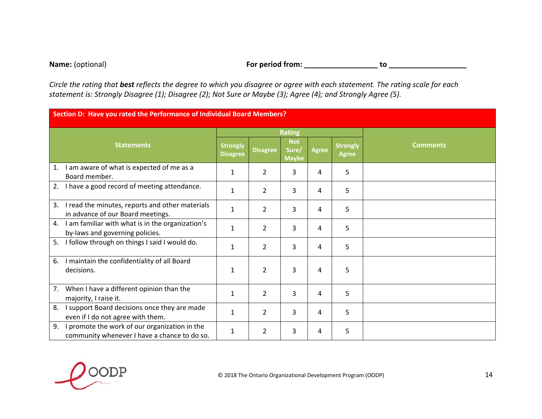#### **Name:**

(optional) **For period from: \_\_\_\_\_\_\_\_\_\_\_\_\_\_\_\_\_\_ to \_\_\_\_\_\_\_\_\_\_\_\_\_\_\_\_\_\_\_**

|    | Section D: Have you rated the Performance of Individual Board Members?                        |                                    |                 |                                     |              |                                 |                 |  |  |  |  |
|----|-----------------------------------------------------------------------------------------------|------------------------------------|-----------------|-------------------------------------|--------------|---------------------------------|-----------------|--|--|--|--|
|    |                                                                                               |                                    |                 | <b>Rating</b>                       |              |                                 |                 |  |  |  |  |
|    | <b>Statements</b>                                                                             | <b>Strongly</b><br><b>Disagree</b> | <b>Disagree</b> | <b>Not</b><br>Sure/<br><b>Maybe</b> | <b>Agree</b> | <b>Strongly</b><br><b>Agree</b> | <b>Comments</b> |  |  |  |  |
| 1. | I am aware of what is expected of me as a<br>Board member.                                    | 1                                  | $\overline{2}$  | 3                                   | 4            | 5                               |                 |  |  |  |  |
| 2. | I have a good record of meeting attendance.                                                   | $\mathbf{1}$                       | $\overline{2}$  | 3                                   | 4            | 5                               |                 |  |  |  |  |
| 3. | I read the minutes, reports and other materials<br>in advance of our Board meetings.          | $\mathbf{1}$                       | $\overline{2}$  | 3                                   | 4            | 5                               |                 |  |  |  |  |
| 4. | I am familiar with what is in the organization's<br>by-laws and governing policies.           | 1                                  | $\overline{2}$  | 3                                   | 4            | 5                               |                 |  |  |  |  |
| 5. | I follow through on things I said I would do.                                                 | 1                                  | $\overline{2}$  | 3                                   | 4            | 5                               |                 |  |  |  |  |
| 6. | I maintain the confidentiality of all Board<br>decisions.                                     | 1                                  | $\overline{2}$  | 3                                   | 4            | 5                               |                 |  |  |  |  |
|    | 7. When I have a different opinion than the<br>majority, I raise it.                          | 1                                  | $\overline{2}$  | 3                                   | 4            | 5                               |                 |  |  |  |  |
| 8. | I support Board decisions once they are made<br>even if I do not agree with them.             | 1                                  | $\overline{2}$  | 3                                   | 4            | 5                               |                 |  |  |  |  |
| 9. | I promote the work of our organization in the<br>community whenever I have a chance to do so. | 1                                  | 2               | 3                                   | 4            | 5                               |                 |  |  |  |  |

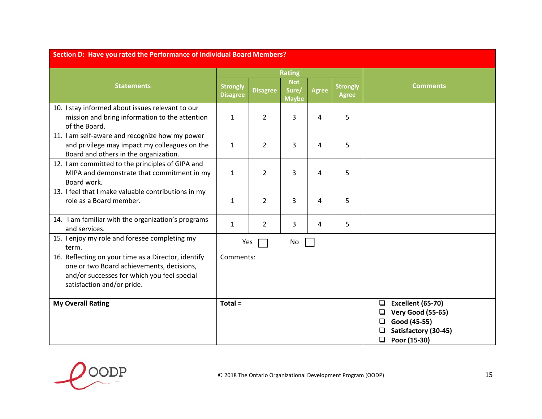| Section D: Have you rated the Performance of Individual Board Members?                                                                                                        |                                    |                 |                                     |              |                                 |                                                                                                                        |  |  |  |
|-------------------------------------------------------------------------------------------------------------------------------------------------------------------------------|------------------------------------|-----------------|-------------------------------------|--------------|---------------------------------|------------------------------------------------------------------------------------------------------------------------|--|--|--|
|                                                                                                                                                                               |                                    |                 | <b>Rating</b>                       |              |                                 |                                                                                                                        |  |  |  |
| <b>Statements</b>                                                                                                                                                             | <b>Strongly</b><br><b>Disagree</b> | <b>Disagree</b> | <b>Not</b><br>Sure/<br><b>Maybe</b> | <b>Agree</b> | <b>Strongly</b><br><b>Agree</b> | <b>Comments</b>                                                                                                        |  |  |  |
| 10. I stay informed about issues relevant to our<br>mission and bring information to the attention<br>of the Board.                                                           | $\mathbf{1}$                       | $\overline{2}$  | 3                                   | 4            | 5                               |                                                                                                                        |  |  |  |
| 11. I am self-aware and recognize how my power<br>and privilege may impact my colleagues on the<br>Board and others in the organization.                                      | $\mathbf{1}$                       | $\overline{2}$  | 3                                   | 4            | 5                               |                                                                                                                        |  |  |  |
| 12. I am committed to the principles of GIPA and<br>MIPA and demonstrate that commitment in my<br>Board work.                                                                 | $\mathbf{1}$                       | $\overline{2}$  | 3                                   | 4            | 5                               |                                                                                                                        |  |  |  |
| 13. I feel that I make valuable contributions in my<br>role as a Board member.                                                                                                | $\mathbf{1}$                       | $\overline{2}$  | 3                                   | 4            | 5                               |                                                                                                                        |  |  |  |
| 14. I am familiar with the organization's programs<br>and services.                                                                                                           | $\mathbf{1}$                       | $\overline{2}$  | 3                                   | 4            | 5                               |                                                                                                                        |  |  |  |
| 15. I enjoy my role and foresee completing my<br>term.                                                                                                                        | Yes                                |                 | No                                  |              |                                 |                                                                                                                        |  |  |  |
| 16. Reflecting on your time as a Director, identify<br>one or two Board achievements, decisions,<br>and/or successes for which you feel special<br>satisfaction and/or pride. | Comments:                          |                 |                                     |              |                                 |                                                                                                                        |  |  |  |
| <b>My Overall Rating</b>                                                                                                                                                      | Total =                            |                 |                                     |              |                                 | <b>Excellent (65-70)</b><br>□<br><b>Very Good (55-65)</b><br>Good (45-55)<br>Satisfactory (30-45)<br>Poor (15-30)<br>❏ |  |  |  |

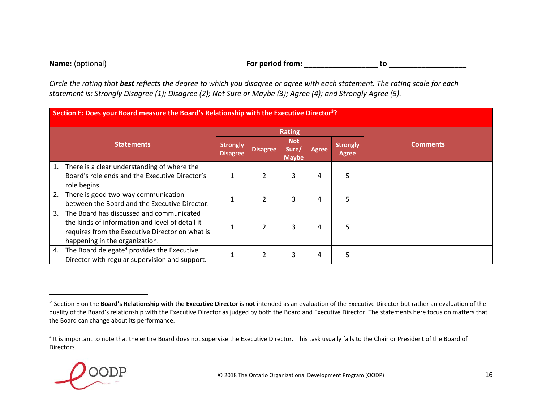#### **Name:**

#### For period from: \_\_\_\_\_\_\_\_\_\_\_\_\_\_\_\_\_\_\_\_\_\_\_\_\_\_\_\_\_\_\_\_ to

|    | Section E: Does your Board measure the Board's Relationship with the Executive Director <sup>3</sup> ? |                                    |                 |                                     |       |                          |                 |  |  |  |
|----|--------------------------------------------------------------------------------------------------------|------------------------------------|-----------------|-------------------------------------|-------|--------------------------|-----------------|--|--|--|
|    |                                                                                                        |                                    |                 | <b>Rating</b>                       |       |                          |                 |  |  |  |
|    | <b>Statements</b>                                                                                      | <b>Strongly</b><br><b>Disagree</b> | <b>Disagree</b> | <b>Not</b><br>Sure/<br><b>Maybe</b> | Agree | <b>Strongly</b><br>Agree | <b>Comments</b> |  |  |  |
| 1. | There is a clear understanding of where the                                                            |                                    |                 |                                     |       |                          |                 |  |  |  |
|    | Board's role ends and the Executive Director's                                                         |                                    | $\overline{2}$  | 3                                   | 4     | 5                        |                 |  |  |  |
|    | role begins.                                                                                           |                                    |                 |                                     |       |                          |                 |  |  |  |
| 2. | There is good two-way communication                                                                    |                                    | $\overline{2}$  | 3                                   | 4     | 5                        |                 |  |  |  |
|    | between the Board and the Executive Director.                                                          |                                    |                 |                                     |       |                          |                 |  |  |  |
| 3. | The Board has discussed and communicated                                                               |                                    |                 |                                     |       |                          |                 |  |  |  |
|    | the kinds of information and level of detail it                                                        |                                    | $\overline{2}$  | 3                                   | 4     | 5                        |                 |  |  |  |
|    | requires from the Executive Director on what is                                                        |                                    |                 |                                     |       |                          |                 |  |  |  |
|    | happening in the organization.                                                                         |                                    |                 |                                     |       |                          |                 |  |  |  |
| 4. | The Board delegate <sup>4</sup> provides the Executive                                                 |                                    | $\overline{2}$  | 3                                   | 4     | 5                        |                 |  |  |  |
|    | Director with regular supervision and support.                                                         |                                    |                 |                                     |       |                          |                 |  |  |  |

 $^4$  It is important to note that the entire Board does not supervise the Executive Director. This task usually falls to the Chair or President of the Board of Directors.



<sup>3</sup> Section E on the **Board's Relationship with the Executive Director** is **not** intended as an evaluation of the Executive Director but rather an evaluation of the quality of the Board's relationship with the Executive Director as judged by both the Board and Executive Director. The statements here focus on matters that the Board can change about its performance.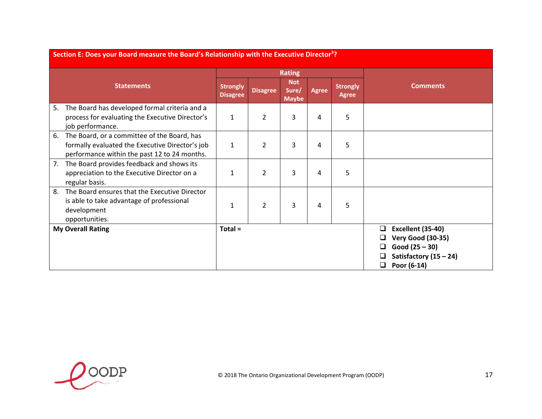|    | Section E: Does your Board measure the Board's Relationship with the Executive Director <sup>3</sup> ?                                         |                                    |                 |                                     |              |                                 |                                                                                                                        |  |  |  |  |
|----|------------------------------------------------------------------------------------------------------------------------------------------------|------------------------------------|-----------------|-------------------------------------|--------------|---------------------------------|------------------------------------------------------------------------------------------------------------------------|--|--|--|--|
|    |                                                                                                                                                |                                    |                 | <b>Rating</b>                       |              |                                 |                                                                                                                        |  |  |  |  |
|    | <b>Statements</b>                                                                                                                              | <b>Strongly</b><br><b>Disagree</b> | <b>Disagree</b> | <b>Not</b><br>Sure/<br><b>Maybe</b> | <b>Agree</b> | <b>Strongly</b><br><b>Agree</b> | <b>Comments</b>                                                                                                        |  |  |  |  |
| 5. | The Board has developed formal criteria and a<br>process for evaluating the Executive Director's<br>job performance.                           | $\mathbf{1}$                       | 2               | 3                                   | 4            | 5                               |                                                                                                                        |  |  |  |  |
| 6. | The Board, or a committee of the Board, has<br>formally evaluated the Executive Director's job<br>performance within the past 12 to 24 months. | $\mathbf{1}$                       | $\overline{2}$  | 3                                   | 4            | 5                               |                                                                                                                        |  |  |  |  |
| 7. | The Board provides feedback and shows its<br>appreciation to the Executive Director on a<br>regular basis.                                     | $\mathbf{1}$                       | $\overline{2}$  | 3                                   | 4            | 5                               |                                                                                                                        |  |  |  |  |
| 8. | The Board ensures that the Executive Director<br>is able to take advantage of professional<br>development<br>opportunities.                    | 1                                  | $\overline{2}$  | 3                                   | 4            | 5                               |                                                                                                                        |  |  |  |  |
|    | <b>My Overall Rating</b>                                                                                                                       | $Total =$                          |                 |                                     |              |                                 | Excellent (35-40)<br>□<br><b>Very Good (30-35)</b><br>Good $(25 - 30)$<br>Satisfactory $(15 - 24)$<br>Poor (6-14)<br>⊔ |  |  |  |  |

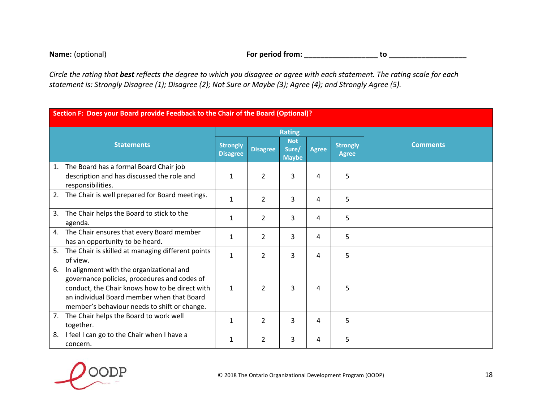| <b>Name:</b> (optional) | For period from: |  |
|-------------------------|------------------|--|
|-------------------------|------------------|--|

| Section F: Does your Board provide Feedback to the Chair of the Board (Optional)?                                                                                                                                                              |  |                                    |                 |                                     |              |                                 |                 |
|------------------------------------------------------------------------------------------------------------------------------------------------------------------------------------------------------------------------------------------------|--|------------------------------------|-----------------|-------------------------------------|--------------|---------------------------------|-----------------|
|                                                                                                                                                                                                                                                |  |                                    | <b>Rating</b>   |                                     |              |                                 |                 |
| <b>Statements</b>                                                                                                                                                                                                                              |  | <b>Strongly</b><br><b>Disagree</b> | <b>Disagree</b> | <b>Not</b><br>Sure/<br><b>Maybe</b> | <b>Agree</b> | <b>Strongly</b><br><b>Agree</b> | <b>Comments</b> |
| The Board has a formal Board Chair job<br>1.<br>description and has discussed the role and<br>responsibilities.                                                                                                                                |  | 1                                  | $\overline{2}$  | 3                                   | 4            | 5                               |                 |
| The Chair is well prepared for Board meetings.<br>2.                                                                                                                                                                                           |  | 1                                  | $\overline{2}$  | 3                                   | 4            | 5                               |                 |
| The Chair helps the Board to stick to the<br>3.<br>agenda.                                                                                                                                                                                     |  | $\mathbf{1}$                       | $\overline{2}$  | 3                                   | 4            | 5                               |                 |
| The Chair ensures that every Board member<br>4.<br>has an opportunity to be heard.                                                                                                                                                             |  | $\mathbf{1}$                       | $\overline{2}$  | 3                                   | 4            | 5                               |                 |
| The Chair is skilled at managing different points<br>5.<br>of view.                                                                                                                                                                            |  | $\mathbf{1}$                       | $\overline{2}$  | 3                                   | 4            | 5                               |                 |
| In alignment with the organizational and<br>6.<br>governance policies, procedures and codes of<br>conduct, the Chair knows how to be direct with<br>an individual Board member when that Board<br>member's behaviour needs to shift or change. |  | $\mathbf{1}$                       | $\overline{2}$  | 3                                   | 4            | 5                               |                 |
| The Chair helps the Board to work well<br>7.<br>together.                                                                                                                                                                                      |  | $\mathbf{1}$                       | $\overline{2}$  | 3                                   | 4            | 5                               |                 |
| I feel I can go to the Chair when I have a<br>8.<br>concern.                                                                                                                                                                                   |  | 1                                  | 2               | 3                                   | 4            | 5                               |                 |

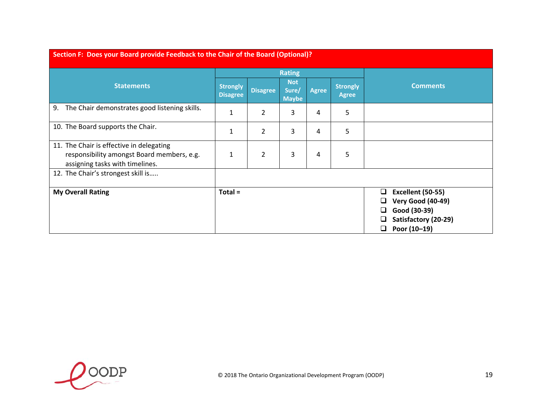| <b>Statements</b>                                                                                                         |                                    |                 | <b>Rating</b>                       |              |                                 |   |                                          |
|---------------------------------------------------------------------------------------------------------------------------|------------------------------------|-----------------|-------------------------------------|--------------|---------------------------------|---|------------------------------------------|
|                                                                                                                           | <b>Strongly</b><br><b>Disagree</b> | <b>Disagree</b> | <b>Not</b><br>Sure/<br><b>Maybe</b> | <b>Agree</b> | <b>Strongly</b><br><b>Agree</b> |   | <b>Comments</b>                          |
| The Chair demonstrates good listening skills.<br>9.                                                                       |                                    | 2               | 3                                   | 4            | 5                               |   |                                          |
| 10. The Board supports the Chair.                                                                                         |                                    | $\overline{2}$  | 3                                   | 4            | 5                               |   |                                          |
| 11. The Chair is effective in delegating<br>responsibility amongst Board members, e.g.<br>assigning tasks with timelines. |                                    | $\overline{2}$  | 3                                   | 4            | 5                               |   |                                          |
| 12. The Chair's strongest skill is                                                                                        |                                    |                 |                                     |              |                                 |   |                                          |
| <b>My Overall Rating</b>                                                                                                  | $Total =$                          |                 |                                     |              |                                 | ப | <b>Excellent (50-55)</b>                 |
|                                                                                                                           |                                    |                 |                                     |              |                                 |   | <b>Very Good (40-49)</b><br>Good (30-39) |
|                                                                                                                           |                                    |                 |                                     |              |                                 |   | Satisfactory (20-29)                     |
|                                                                                                                           |                                    |                 |                                     |              |                                 | ❏ | Poor (10-19)                             |

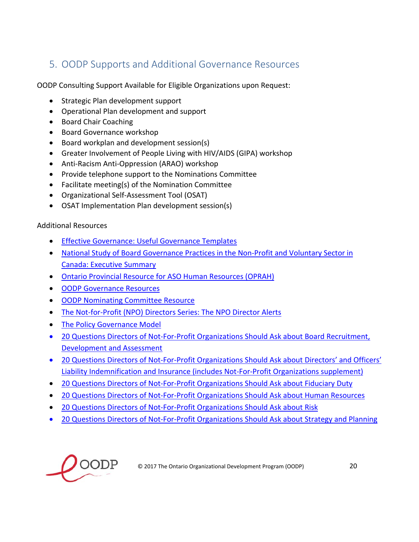## 5. OODP Supports and Additional Governance Resources

OODP Consulting Support Available for Eligible Organizations upon Request:

- Strategic Plan development support
- Operational Plan development and support
- Board Chair Coaching
- Board Governance workshop
- Board workplan and development session(s)
- Greater Involvement of People Living with HIV/AIDS (GIPA) workshop
- Anti-Racism Anti-Oppression (ARAO) workshop
- Provide telephone support to the Nominations Committee
- Facilitate meeting(s) of the Nomination Committee
- Organizational Self-Assessment Tool (OSAT)
- OSAT Implementation Plan development session(s)

#### Additional Resources

- Effective Governance: Useful Governance Templates
- National Study of Board Governance Practices in the Non-Profit and Voluntary Sector in Canada: Executive Summary
- Ontario Provincial Resource for ASO Human Resources (OPRAH)
- **OODP Governance Resources**
- OODP Nominating Committee Resource
- The Not-for-Profit (NPO) Directors Series: The NPO Director Alerts
- The Policy Governance Model
- 20 Questions Directors of Not-For-Profit Organizations Should Ask about Board Recruitment, Development and Assessment
- 20 Questions Directors of Not-For-Profit Organizations Should Ask about Directors' and Officers' Liability Indemnification and Insurance (includes Not‐For‐Profit Organizations supplement)
- 20 Questions Directors of Not-For-Profit Organizations Should Ask about Fiduciary Duty
- 20 Questions Directors of Not-For-Profit Organizations Should Ask about Human Resources
- 20 Questions Directors of Not-For-Profit Organizations Should Ask about Risk
- 20 Questions Directors of Not-For-Profit Organizations Should Ask about Strategy and Planning